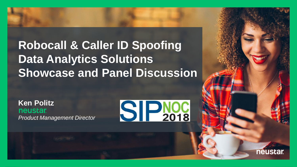### **Robocall & Caller ID Spoofing Data Analytics Solutions Showcase and Panel Discussion**

**Ken Politz neustar** *Product Management Director*



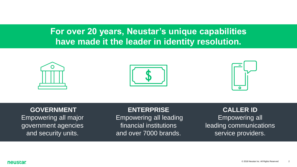### **For over 20 years, Neustar's unique capabilities have made it the leader in identity resolution.**





### **GOVERNMENT**

Empowering all major government agencies and security units.

#### **ENTERPRISE**

Empowering all leading financial institutions and over 7000 brands.

#### **CALLER ID**

Empowering all leading communications service providers.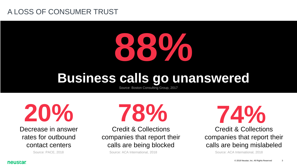### A LOSS OF CONSUMER TRUST



## **Business calls go unanswered**

Source: Boston Consulting Group, 2017

**20%**

Decrease in answer rates for outbound contact centers

**78%**

Credit & Collections companies that report their calls are being blocked

Source: PACE, 2018 Source: ACA International, 2018 Source: ACA International, 2018

**74%**

Credit & Collections companies that report their calls are being mislabeled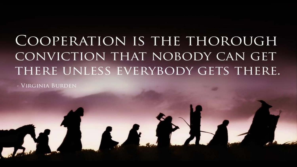# COOPERATION IS THE THOROUGH CONVICTION THAT NOBODY CAN GET THERE UNLESS EVERYBODY GETS THERE.

- VIRGINIA BURDEN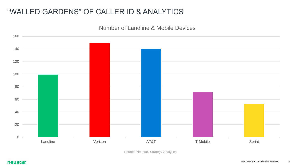### "WALLED GARDENS" OF CALLER ID & ANALYTICS

Number of Landline & Mobile Devices



Source: Neustar, Strategy Analytics

**neustar**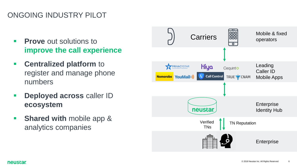### ONGOING INDUSTRY PILOT

- **Prove** out solutions to **improve the call experience**
- **EXECUTE: Centralized platform to** register and manage phone numbers
- **Deployed across caller ID ecosystem**
- **Shared with mobile app &** analytics companies



**neustar**